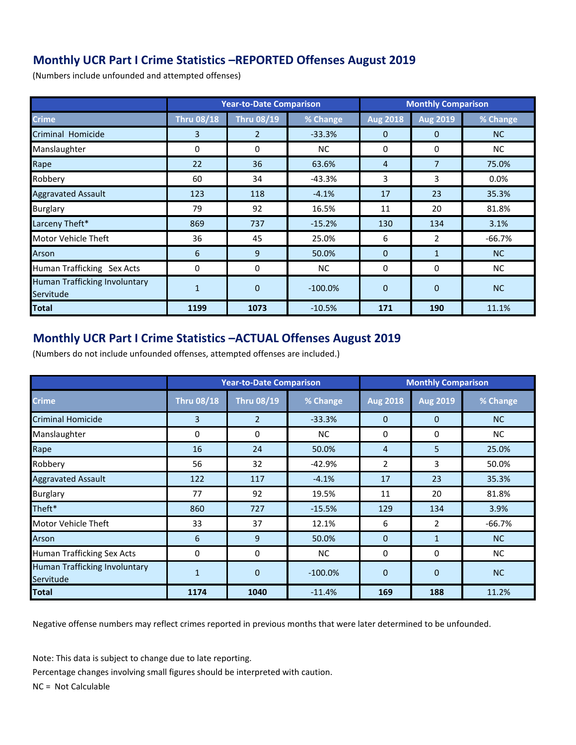## **Monthly UCR Part I Crime Statistics –REPORTED Offenses August 2019**

(Numbers include unfounded and attempted offenses)

|                                            | <b>Year-to-Date Comparison</b> |                   |            | <b>Monthly Comparison</b> |                 |          |
|--------------------------------------------|--------------------------------|-------------------|------------|---------------------------|-----------------|----------|
| <b>Crime</b>                               | <b>Thru 08/18</b>              | <b>Thru 08/19</b> | % Change   | <b>Aug 2018</b>           | <b>Aug 2019</b> | % Change |
| Criminal Homicide                          | $\overline{3}$                 | $\overline{2}$    | $-33.3%$   | 0                         | $\Omega$        | NC       |
| Manslaughter                               | 0                              | 0                 | NC.        | 0                         | 0               | NC.      |
| Rape                                       | 22                             | 36                | 63.6%      | 4                         | $\overline{7}$  | 75.0%    |
| Robbery                                    | 60                             | 34                | $-43.3%$   | 3                         | 3               | 0.0%     |
| <b>Aggravated Assault</b>                  | 123                            | 118               | $-4.1%$    | 17                        | 23              | 35.3%    |
| <b>Burglary</b>                            | 79                             | 92                | 16.5%      | 11                        | 20              | 81.8%    |
| Larceny Theft*                             | 869                            | 737               | $-15.2%$   | 130                       | 134             | 3.1%     |
| Motor Vehicle Theft                        | 36                             | 45                | 25.0%      | 6                         | $\overline{2}$  | $-66.7%$ |
| Arson                                      | 6                              | 9                 | 50.0%      | $\mathbf 0$               | $\mathbf{1}$    | NC       |
| Human Trafficking Sex Acts                 | $\mathbf{0}$                   | 0                 | NC.        | 0                         | 0               | NC.      |
| Human Trafficking Involuntary<br>Servitude | $\mathbf{1}$                   | $\mathbf{0}$      | $-100.0\%$ | $\mathbf 0$               | $\Omega$        | NC       |
| <b>Total</b>                               | 1199                           | 1073              | $-10.5%$   | 171                       | 190             | 11.1%    |

## **Monthly UCR Part I Crime Statistics –ACTUAL Offenses August 2019**

(Numbers do not include unfounded offenses, attempted offenses are included.)

|                                                   | <b>Year-to-Date Comparison</b> |                   |            | <b>Monthly Comparison</b> |                 |          |  |
|---------------------------------------------------|--------------------------------|-------------------|------------|---------------------------|-----------------|----------|--|
| <b>Crime</b>                                      | <b>Thru 08/18</b>              | <b>Thru 08/19</b> | % Change   | <b>Aug 2018</b>           | <b>Aug 2019</b> | % Change |  |
| <b>Criminal Homicide</b>                          | 3                              | $\overline{2}$    | $-33.3%$   | $\mathbf{0}$              | $\Omega$        | NC       |  |
| Manslaughter                                      | 0                              | 0                 | <b>NC</b>  | 0                         | 0               | NC.      |  |
| Rape                                              | 16                             | 24                | 50.0%      | $\overline{4}$            | 5               | 25.0%    |  |
| Robbery                                           | 56                             | 32                | $-42.9%$   | 2                         | 3               | 50.0%    |  |
| <b>Aggravated Assault</b>                         | 122                            | 117               | $-4.1%$    | 17                        | 23              | 35.3%    |  |
| <b>Burglary</b>                                   | 77                             | 92                | 19.5%      | 11                        | 20              | 81.8%    |  |
| Theft*                                            | 860                            | 727               | $-15.5%$   | 129                       | 134             | 3.9%     |  |
| Motor Vehicle Theft                               | 33                             | 37                | 12.1%      | 6                         | 2               | $-66.7%$ |  |
| Arson                                             | 6                              | 9                 | 50.0%      | $\mathbf{0}$              | $\mathbf{1}$    | NC       |  |
| <b>Human Trafficking Sex Acts</b>                 | 0                              | 0                 | <b>NC</b>  | 0                         | $\mathbf{0}$    | NC.      |  |
| <b>Human Trafficking Involuntary</b><br>Servitude | $\mathbf{1}$                   | $\mathbf 0$       | $-100.0\%$ | $\mathbf{0}$              | $\mathbf 0$     | NC       |  |
| <b>Total</b>                                      | 1174                           | 1040              | $-11.4%$   | 169                       | 188             | 11.2%    |  |

Negative offense numbers may reflect crimes reported in previous months that were later determined to be unfounded.

Note: This data is subject to change due to late reporting.

Percentage changes involving small figures should be interpreted with caution.

NC = Not Calculable